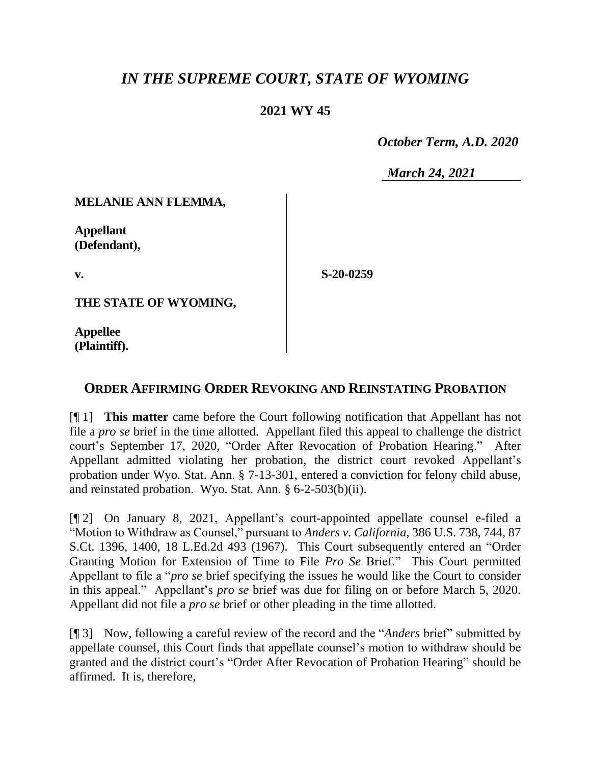## *IN THE SUPREME COURT, STATE OF WYOMING*

## **2021 WY 45**

 *October Term, A.D. 2020*

*March 24, 2021*

**MELANIE ANN FLEMMA,**

**Appellant (Defendant),**

**v.**

**S-20-0259**

**THE STATE OF WYOMING,**

**Appellee (Plaintiff).**

## **ORDER AFFIRMING ORDER REVOKING AND REINSTATING PROBATION**

[¶ 1] **This matter** came before the Court following notification that Appellant has not file a *pro se* brief in the time allotted. Appellant filed this appeal to challenge the district court's September 17, 2020, "Order After Revocation of Probation Hearing." After Appellant admitted violating her probation, the district court revoked Appellant's probation under Wyo. Stat. Ann. § 7-13-301, entered a conviction for felony child abuse, and reinstated probation. Wyo. Stat. Ann. § 6-2-503(b)(ii).

[¶ 2] On January 8, 2021, Appellant's court-appointed appellate counsel e-filed a "Motion to Withdraw as Counsel," pursuant to *Anders v. California*, 386 U.S. 738, 744, 87 S.Ct. 1396, 1400, 18 L.Ed.2d 493 (1967). This Court subsequently entered an "Order Granting Motion for Extension of Time to File *Pro Se* Brief." This Court permitted Appellant to file a "*pro se* brief specifying the issues he would like the Court to consider in this appeal." Appellant's *pro se* brief was due for filing on or before March 5, 2020. Appellant did not file a *pro se* brief or other pleading in the time allotted.

[¶ 3] Now, following a careful review of the record and the "*Anders* brief" submitted by appellate counsel, this Court finds that appellate counsel's motion to withdraw should be granted and the district court's "Order After Revocation of Probation Hearing" should be affirmed. It is, therefore,